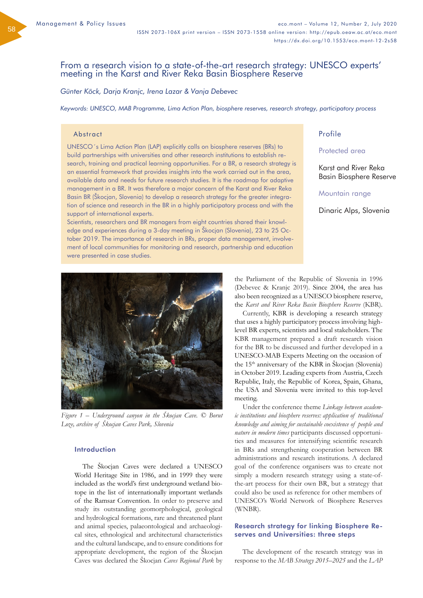58

# From a research vision to a state-of-the-art research strategy: UNESCO experts' meeting in the Karst and River Reka Basin Biosphere Reserve

*Günter Köck, Darja Kranjc, Irena Lazar & Vanja Debevec*

*Keywords: UNESCO, MAB Programme, Lima Action Plan, biosphere reserves, research strategy, participatory process*

## Abstract

UNESCO´s Lima Action Plan (LAP) explicitly calls on biosphere reserves (BRs) to build partnerships with universities and other research institutions to establish research, training and practical learning opportunities. For a BR, a research strategy is an essential framework that provides insights into the work carried out in the area, available data and needs for future research studies. It is the roadmap for adaptive management in a BR. It was therefore a major concern of the Karst and River Reka Basin BR (Škocjan, Slovenia) to develop a research strategy for the greater integration of science and research in the BR in a highly participatory process and with the support of international experts.

Scientists, researchers and BR managers from eight countries shared their knowledge and experiences during a 3-day meeting in Škocjan (Slovenia), 23 to 25 October 2019. The importance of research in BRs, proper data management, involvement of local communities for monitoring and research, partnership and education were presented in case studies.

## Profile

## Protected area

Karst and River Reka Basin Biosphere Reserve

## Mountain range

Dinaric Alps, Slovenia



*Figure 1 – Underground canyon in the Škocjan Cave. © Borut Loze, archive of Škocjan Caves Park, Slovenia*

## Introduction

The Škocjan Caves were declared a UNESCO World Heritage Site in 1986, and in 1999 they were included as the world's first underground wetland biotope in the list of internationally important wetlands of the Ramsar Convention. In order to preserve and study its outstanding geomorphological, geological and hydrological formations, rare and threatened plant and animal species, palaeontological and archaeological sites, ethnological and architectural characteristics and the cultural landscape, and to ensure conditions for appropriate development, the region of the Škocjan Caves was declared the Škocjan *Caves Regional Park* by

the Parliament of the Republic of Slovenia in 1996 (Debevec & Kranjc 2019). Since 2004, the area has also been recognized as a UNESCO biosphere reserve, the *Karst and River Reka Basin Biosphere Reserve* (KBR).

Currently, KBR is developing a research strategy that uses a highly participatory process involving highlevel BR experts, scientists and local stakeholders. The KBR management prepared a draft research vision for the BR to be discussed and further developed in a UNESCO-MAB Experts Meeting on the occasion of the  $15<sup>th</sup>$  anniversary of the KBR in Škocjan (Slovenia) in October 2019. Leading experts from Austria, Czech Republic, Italy, the Republic of Korea, Spain, Ghana, the USA and Slovenia were invited to this top-level meeting.

Under the conference theme *Linkage between academic institutions and biosphere reserves: application of traditional knowledge and aiming for sustainable coexistence of people and nature in modern times* participants discussed opportunities and measures for intensifying scientific research in BRs and strengthening cooperation between BR administrations and research institutions. A declared goal of the conference organisers was to create not simply a modern research strategy using a state-ofthe-art process for their own BR, but a strategy that could also be used as reference for other members of UNESCO's World Network of Biosphere Reserves (WNBR).

## Research strategy for linking Biosphere Reserves and Universities: three steps

The development of the research strategy was in response to the *MAB Strategy 2015–2025* and the *LAP*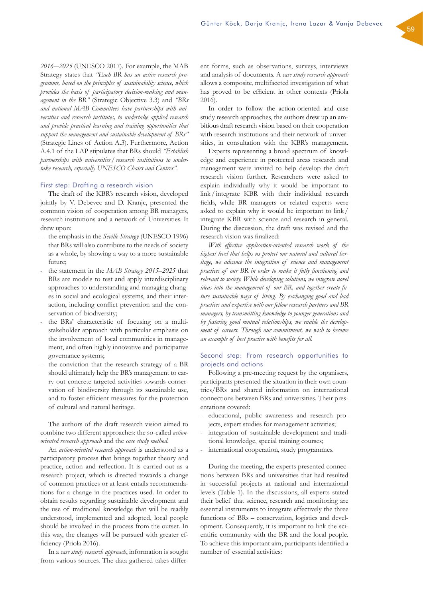*2016-–2025* (UNESCO 2017). For example, the MAB Strategy states that *"Each BR has an active research programme, based on the principles of sustainability science, which provides the basis of participatory decision-making and management in the BR"* (Strategic Objective 3.3) and *"BRs and national MAB Committees have partnerships with universities and research institutes, to undertake applied research and provide practical learning and training opportunities that support the management and sustainable development of BRs"* (Strategic Lines of Action A.3). Furthermore, Action A.4.1 of the LAP stipulates that BRs should *"Establish partnerships with universities/research institutions to undertake research, especially UNESCO Chairs and Centres"*.

## First step: Drafting a research vision

The draft of the KBR's research vision, developed jointly by V. Debevec and D. Kranjc, presented the common vision of cooperation among BR managers, research institutions and a network of Universities. It drew upon:

- the emphasis in the *Seville Strategy* (UNESCO 1996) that BRs will also contribute to the needs of society as a whole, by showing a way to a more sustainable future;
- the statement in the *MAB Strategy 2015–2025* that BRs are models to test and apply interdisciplinary approaches to understanding and managing changes in social and ecological systems, and their interaction, including conflict prevention and the conservation of biodiversity;
- the BRs' characteristic of focusing on a multistakeholder approach with particular emphasis on the involvement of local communities in management, and often highly innovative and participative governance systems;
- the conviction that the research strategy of a BR should ultimately help the BR's management to carry out concrete targeted activities towards conservation of biodiversity through its sustainable use, and to foster efficient measures for the protection of cultural and natural heritage.

The authors of the draft research vision aimed to combine two different approaches: the so-called *actionoriented research approach* and the *case study method*.

An *action-oriented research approach* is understood as a participatory process that brings together theory and practice, action and reflection. It is carried out as a research project, which is directed towards a change of common practices or at least entails recommendations for a change in the practices used. In order to obtain results regarding sustainable development and the use of traditional knowledge that will be readily understood, implemented and adopted, local people should be involved in the process from the outset. In this way, the changes will be pursued with greater efficiency (Priola 2016).

In a *case study research approach*, information is sought from various sources. The data gathered takes different forms, such as observations, surveys, interviews and analysis of documents. A *case study research approach* allows a composite, multifaceted investigation of what has proved to be efficient in other contexts (Priola 2016).

In order to follow the action-oriented and case study research approaches, the authors drew up an ambitious draft research vision based on their cooperation with research institutions and their network of universities, in consultation with the KBR's management.

Experts representing a broad spectrum of knowledge and experience in protected areas research and management were invited to help develop the draft research vision further. Researchers were asked to explain individually why it would be important to link/integrate KBR with their individual research fields, while BR managers or related experts were asked to explain why it would be important to link / integrate KBR with science and research in general. During the discussion, the draft was revised and the research vision was finalized:

*With effective application-oriented research work of the highest level that helps us protect our natural and cultural heritage, we advance the integration of science and management practices of our BR in order to make it fully functioning and relevant to society. While developing solutions, we integrate novel ideas into the management of our BR, and together create future sustainable ways of living. By exchanging good and bad practices and expertise with our fellow research partners and BR managers, by transmitting knowledge to younger generations and by fostering good mutual relationships, we enable the development of careers. Through our commitment, we wish to become an example of best practice with benefits for all.*

## Second step: From research opportunities to projects and actions

Following a pre-meeting request by the organisers, participants presented the situation in their own countries/BRs and shared information on international connections between BRs and universities. Their presentations covered:

- educational, public awareness and research projects, expert studies for management activities;
- integration of sustainable development and traditional knowledge, special training courses;
- international cooperation, study programmes.

During the meeting, the experts presented connections between BRs and universities that had resulted in successful projects at national and international levels (Table 1). In the discussions, all experts stated their belief that science, research and monitoring are essential instruments to integrate effectively the three functions of BRs – conservation, logistics and development. Consequently, it is important to link the scientific community with the BR and the local people. To achieve this important aim, participants identified a number of essential activities: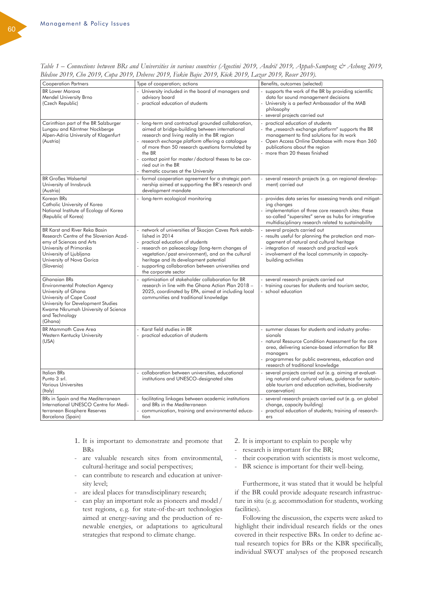| Bledsoe 2019, Cho 2019, Cupa 2019, Debevec 2019, Fakin Bajec 2019, Kock 2019, Lazar 2019, Koser 2019).                                                                                                                     |                                                                                                                                                                                                                                                                                                                                                                                             |                                                                                                                                                                                                                                                                             |  |
|----------------------------------------------------------------------------------------------------------------------------------------------------------------------------------------------------------------------------|---------------------------------------------------------------------------------------------------------------------------------------------------------------------------------------------------------------------------------------------------------------------------------------------------------------------------------------------------------------------------------------------|-----------------------------------------------------------------------------------------------------------------------------------------------------------------------------------------------------------------------------------------------------------------------------|--|
| <b>Cooperation Partners</b>                                                                                                                                                                                                | Type of cooperation; actions                                                                                                                                                                                                                                                                                                                                                                | Benefits, outcomes (selected)                                                                                                                                                                                                                                               |  |
| <b>BR Lower Morava</b><br>Mendel University Brno<br>(Czech Republic)                                                                                                                                                       | - University included in the board of managers and<br>advisory board<br>- practical education of students                                                                                                                                                                                                                                                                                   | supports the work of the BR by providing scientific<br>data for sound management decisions<br>- University is a perfect Ambassador of the MAB<br>philosophy<br>- several projects carried out                                                                               |  |
| Carinthian part of the BR Salzburger<br>Lungau and Kärntner Nockberge<br>Alpen-Adria University of Klagenfurt<br>(Austria)                                                                                                 | - long-term and contractual grounded collaboration,<br>aimed at bridge-building between international<br>research and living reality in the BR region<br>- research exchange platform offering a catalogue<br>of more than 50 research questions formulated by<br>the BR<br>contact point for master/doctoral theses to be car-<br>ried out in the BR<br>thematic courses at the University | practical education of students<br>the "research exchange platform" supports the BR<br>management to find solutions for its work<br>- Open Access Online Database with more than 360<br>publications about the region<br>more than 20 theses finished                       |  |
| <b>BR Großes Walsertal</b><br>University of Innsbruck<br>(Austria)                                                                                                                                                         | formal cooperation agreement for a strategic part-<br>$\blacksquare$<br>nership aimed at supporting the BR's research and<br>development mandate                                                                                                                                                                                                                                            | several research projects (e.g. on regional develop-<br>ment) carried out                                                                                                                                                                                                   |  |
| Korean BRs<br>Catholic University of Korea<br>National Institute of Ecology of Korea<br>(Republic of Korea)                                                                                                                | - long-term ecological monitoring                                                                                                                                                                                                                                                                                                                                                           | provides data series for assessing trends and mitigat-<br>ing changes<br>- implementation of three core research sites; these<br>so-called "supersites" serve as hubs for integrative<br>multidisciplinary research related to sustainability                               |  |
| BR Karst and River Reka Basin<br>Research Centre of the Slovenian Acad-<br>emy of Sciences and Arts<br>University of Primorska<br>University of Ljubljana<br>University of Nova Gorica<br>(Slovenia)                       | - network of universities of Škocjan Caves Park estab-<br>lished in 2014<br>- practical education of students<br>- research on paleoecology (long-term changes of<br>vegetation/past environment), and on the cultural<br>heritage and its development potential<br>supporting collaboration between universities and<br>the corporate sector                                               | - several projects carried out<br>results useful for planning the protection and man-<br>agement of natural and cultural heritage<br>- integration of research and practical work<br>involvement of the local community in capacity-<br>building activities                 |  |
| <b>Ghanaian BRs</b><br><b>Environmental Protection Agency</b><br>University of Ghana<br>University of Cape Coast<br>University for Development Studies<br>Kwame Nkrumah University of Science<br>and Technology<br>(Ghana) | optimization of stakeholder collaboration for BR<br>research in line with the Ghana Action Plan 2018 -<br>2025, coordinated by EPA, aimed at including local<br>communities and traditional knowledge                                                                                                                                                                                       | - several research projects carried out<br>- training courses for students and tourism sector,<br>- school education                                                                                                                                                        |  |
| <b>BR Mammoth Cave Area</b><br>Western Kentucky University<br>(USA)                                                                                                                                                        | - Karst field studies in BR<br>- practical education of students                                                                                                                                                                                                                                                                                                                            | summer classes for students and industry profes-<br>sionals<br>- natural Resource Condition Assessment for the core<br>area, delivering science-based information for BR<br>managers<br>programmes for public awareness, education and<br>research of traditional knowledge |  |
| <b>Italian BRs</b><br>Punto 3 srl.<br><b>Various Universites</b><br>(Italy)                                                                                                                                                | - collaboration between universities, educational<br>institutions and UNESCO-designated sites                                                                                                                                                                                                                                                                                               | several projects carried out (e.g. aiming at evaluat-<br>ing natural and cultural values, guidance for sustain-<br>able tourism and education activities, biodiversity<br>conservation)                                                                                     |  |
| BRs in Spain and the Mediterranean<br>International UNESCO Centre for Medi-<br>terranean Biosphere Reserves<br>Barcelona (Spain)                                                                                           | - facilitating linkages between academic institutions<br>and BRs in the Mediterranean<br>communication, training and environmental educa-<br>tion                                                                                                                                                                                                                                           | several research projects carried out (e.g. on global<br>change, capacity building)<br>practical education of students; training of research-<br>ers                                                                                                                        |  |

*Table 1 – Connections between BRs and Universities in various countries (Agostini 2019, Andrič 2019, Appah-Sampong & Ashong 2019, Bledsoe 2019, Cho 2019, Cupa 2019, Debevec 2019, Fakin Bajec 2019, Köck 2019, Lazar 2019, Roser 2019).*

- 1. It is important to demonstrate and promote that BRs
- are valuable research sites from environmental, cultural-heritage and social perspectives;
- can contribute to research and education at university level;
- are ideal places for transdisciplinary research;
- can play an important role as pioneers and model / test regions, e. g. for state-of-the-art technologies aimed at energy-saving and the production of renewable energies, or adaptations to agricultural strategies that respond to climate change.
- 2. It is important to explain to people why
- research is important for the BR;
- their cooperation with scientists is most welcome,
- BR science is important for their well-being.

Furthermore, it was stated that it would be helpful if the BR could provide adequate research infrastructure in situ (e. g. accommodation for students, working facilities).

Following the discussion, the experts were asked to highlight their individual research fields or the ones covered in their respective BRs. In order to define actual research topics for BRs or the KBR specifically, individual SWOT analyses of the proposed research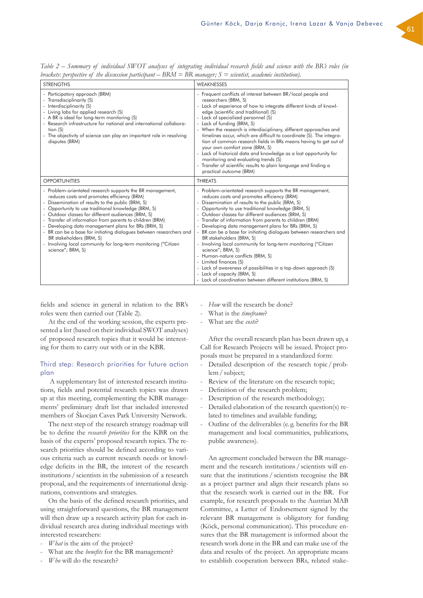*Table 2 – Summary of individual SWOT analyses of integrating individual research fields and science with the BR's roles (in brackets: perspective of the discussion participant – BRM = BR manager; S = scientist, academic institution).*

| <b>STRENGTHS</b>                                                                                                                                                                                                                                                                                                                                                                                                                                                                                                                                                                        | WEAKNESSES                                                                                                                                                                                                                                                                                                                                                                                                                                                                                                                                                                                                                                                                                                                                                                                                                 |
|-----------------------------------------------------------------------------------------------------------------------------------------------------------------------------------------------------------------------------------------------------------------------------------------------------------------------------------------------------------------------------------------------------------------------------------------------------------------------------------------------------------------------------------------------------------------------------------------|----------------------------------------------------------------------------------------------------------------------------------------------------------------------------------------------------------------------------------------------------------------------------------------------------------------------------------------------------------------------------------------------------------------------------------------------------------------------------------------------------------------------------------------------------------------------------------------------------------------------------------------------------------------------------------------------------------------------------------------------------------------------------------------------------------------------------|
| - Participatory approach (BRM)<br>- Transdisciplinarity (S)<br>- Interdisciplinarity (S)<br>- Living labs for applied research (S)<br>- A BR is ideal for long-term monitoring (S)<br>- Research infrastructure for national and international collabora-<br>tion (S)<br>- The objectivity of science can play an important role in resolving<br>disputes (BRM)                                                                                                                                                                                                                         | - Frequent conflicts of interest between BR/local people and<br>researchers (BRM, S)<br>- Lack of experience of how to integrate different kinds of knowl-<br>edge (scientific and traditional) (S)<br>- Lack of specialized personnel (S)<br>- Lack of funding (BRM, S)<br>- When the research is interdisciplinary, different approaches and<br>timelines occur, which are difficult to coordinate (S). The integra-<br>tion of common research fields in BRs means having to get out of<br>your own comfort zone (BRM, S)<br>- Lack of historical data and knowledge as a lost opportunity for<br>monitoring and evaluating trends (S)<br>- Transfer of scientific results to plain language and finding a<br>practical outcome (BRM)                                                                                   |
| <b>OPPORTUNITIES</b>                                                                                                                                                                                                                                                                                                                                                                                                                                                                                                                                                                    | <b>THREATS</b>                                                                                                                                                                                                                                                                                                                                                                                                                                                                                                                                                                                                                                                                                                                                                                                                             |
| - Problem-orientated research supports the BR management,<br>reduces costs and promotes efficiency (BRM)<br>- Dissemination of results to the public (BRM, S)<br>- Opportunity to use traditional knowledge (BRM, S)<br>- Outdoor classes for different audiences (BRM, S)<br>- Transfer of information from parents to children (BRM)<br>- Developing data management plans for BRs (BRM, S)<br>- BR can be a base for initiating dialogues between researchers and<br>BR stakeholders (BRM, S)<br>- Involving local community for long-term monitoring ("Citizen<br>science"; BRM, S) | - Problem-orientated research supports the BR management,<br>reduces costs and promotes efficiency (BRM)<br>- Dissemination of results to the public (BRM, S)<br>- Opportunity to use traditional knowledge (BRM, S)<br>- Outdoor classes for different audiences (BRM, S)<br>- Transfer of information from parents to children (BRM)<br>- Developing data management plans for BRs (BRM, S)<br>- BR can be a base for initiating dialogues between researchers and<br>BR stakeholders (BRM, S)<br>- Involving local community for long-term monitoring ("Citizen<br>science"; BRM, S)<br>- Human-nature conflicts (BRM, S)<br>- Limited finances (S)<br>- Lack of awareness of possibilities in a top-down approach (S)<br>- Lack of capacity (BRM, S)<br>- Lack of coordination between different institutions (BRM, S) |

fields and science in general in relation to the BR's roles were then carried out (Table 2).

At the end of the working session, the experts presented a list (based on their individual SWOT analyses) of proposed research topics that it would be interesting for them to carry out with or in the KBR.

## Third step: Research priorities for future action plan

 A supplementary list of interested research institutions, fields and potential research topics was drawn up at this meeting, complementing the KBR managements' preliminary draft list that included interested members of Škocjan Caves Park University Network.

The next step of the research strategy roadmap will be to define the *research priorities* for the KBR on the basis of the experts' proposed research topics. The research priorities should be defined according to various criteria such as current research needs or knowledge deficits in the BR, the interest of the research institutions/ scientists in the submission of a research proposal, and the requirements of international designations, conventions and strategies.

On the basis of the defined research priorities, and using straightforward questions, the BR management will then draw up a research activity plan for each individual research area during individual meetings with interested researchers:

- *What* is the aim of the project?
- What are the *benefits* for the BR management?
- Who will do the research?
- How will the research be done?
- What is the *timeframe*?
- What are the *costs*?

After the overall research plan has been drawn up, a Call for Research Projects will be issued. Project proposals must be prepared in a standardized form:

- Detailed description of the research topic/problem/subject;
- Review of the literature on the research topic;
- Definition of the research problem;
- Description of the research methodology;
- Detailed elaboration of the research question(s) related to timelines and available funding;
- Outline of the deliverables (e.g. benefits for the BR management and local communities, publications, public awareness).

An agreement concluded between the BR management and the research institutions/scientists will ensure that the institutions / scientists recognise the BR as a project partner and align their research plans so that the research work is carried out in the BR. For example, for research proposals to the Austrian MAB Committee, a Letter of Endorsement signed by the relevant BR management is obligatory for funding (Köck, personal communication). This procedure ensures that the BR management is informed about the research work done in the BR and can make use of the data and results of the project. An appropriate means to establish cooperation between BRs, related stake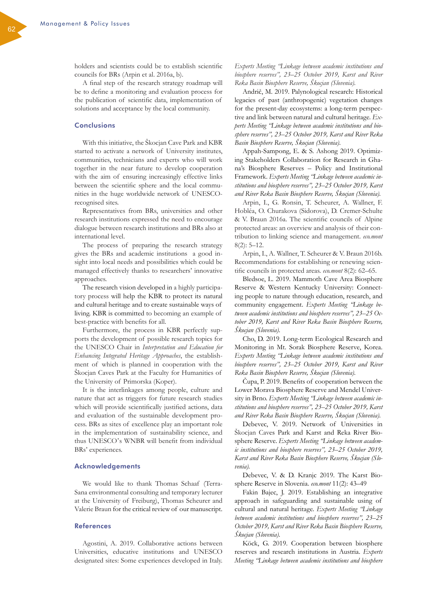holders and scientists could be to establish scientific councils for BRs (Arpin et al. 2016a, b).

A final step of the research strategy roadmap will be to define a monitoring and evaluation process for the publication of scientific data, implementation of solutions and acceptance by the local community.

### **Conclusions**

With this initiative, the Škocjan Cave Park and KBR started to activate a network of University institutes, communities, technicians and experts who will work together in the near future to develop cooperation with the aim of ensuring increasingly effective links between the scientific sphere and the local communities in the huge worldwide network of UNESCOrecognised sites.

Representatives from BRs, universities and other research institutions expressed the need to encourage dialogue between research institutions and BRs also at international level.

The process of preparing the research strategy gives the BRs and academic institutions a good insight into local needs and possibilities which could be managed effectively thanks to researchers' innovative approaches.

The research vision developed in a highly participatory process will help the KBR to protect its natural and cultural heritage and to create sustainable ways of living. KBR is committed to becoming an example of best-practice with benefits for all.

Furthermore, the process in KBR perfectly supports the development of possible research topics for the UNESCO Chair in *Interpretation and Education for Enhancing Integrated Heritage Approaches*, the establishment of which is planned in cooperation with the Škocjan Caves Park at the Faculty for Humanities of the University of Primorska (Koper).

It is the interlinkages among people, culture and nature that act as triggers for future research studies which will provide scientifically justified actions, data and evaluation of the sustainable development process. BRs as sites of excellence play an important role in the implementation of sustainability science, and thus UNESCO's WNBR will benefit from individual BRs' experiences.

#### Acknowledgements

We would like to thank Thomas Schaaf (Terra-Sana environmental consulting and temporary lecturer at the University of Freiburg), Thomas Scheurer and Valerie Braun for the critical review of our manuscript.

### References

Agostini, A. 2019. Collaborative actions between Universities, educative institutions and UNESCO designated sites: Some experiences developed in Italy.

*Experts Meeting "Linkage between academic institutions and biosphere reserves", 23–25 October 2019, Karst and River Reka Basin Biosphere Reserve, Škocjan (Slovenia).*

Andrič, M. 2019. Palynological research: Historical legacies of past (anthropogenic) vegetation changes for the present-day ecosystems: a long-term perspective and link between natural and cultural heritage. *Experts Meeting "Linkage between academic institutions and biosphere reserves", 23–25 October 2019, Karst and River Reka Basin Biosphere Reserve, Škocjan (Slovenia).*

Appah-Sampong, E. & S. Ashong 2019. Optimizing Stakeholders Collaboration for Research in Ghana's Biosphere Reserves – Policy and Institutional Framework. *Experts Meeting "Linkage between academic institutions and biosphere reserves", 23–25 October 2019, Karst and River Reka Basin Biosphere Reserve, Škocjan (Slovenia).*

Arpin, I., G. Ronsin, T. Scheurer, A. Wallner, F. Hobléa, O. Churakova (Sidorova), D. Cremer-Schulte & V. Braun 2016a. The scientific councils of Alpine protected areas: an overview and analysis of their contribution to linking science and management. *eco.mont* 8(2): 5–12.

Arpin, I., A. Wallner, T. Scheurer & V. Braun 2016b. Recommendations for establishing or renewing scientific councils in protected areas. *eco.mont* 8(2): 62*–*65.

Bledsoe, L. 2019. Mammoth Cave Area Biosphere Reserve & Western Kentucky University: Connecting people to nature through education, research, and community engagement. *Experts Meeting "Linkage between academic institutions and biosphere reserves", 23–25 October 2019, Karst and River Reka Basin Biosphere Reserve, Škocjan (Slovenia).*

Cho, D. 2019. Long-term Ecological Research and Monitoring in Mt. Sorak Biosphere Reserve, Korea. *Experts Meeting "Linkage between academic institutions and biosphere reserves", 23–25 October 2019, Karst and River Reka Basin Biosphere Reserve, Škocjan (Slovenia).*

Čupa, P. 2019. Benefits of cooperation between the Lower Morava Biosphere Reserve and Mendel University in Brno. *Experts Meeting "Linkage between academic institutions and biosphere reserves", 23–25 October 2019, Karst and River Reka Basin Biosphere Reserve, Škocjan (Slovenia).*

Debevec, V. 2019. Network of Universities in Škocjan Caves Park and Karst and Reka River Biosphere Reserve. *Experts Meeting "Linkage between academic institutions and biosphere reserves", 23–25 October 2019, Karst and River Reka Basin Biosphere Reserve, Škocjan (Slovenia).*

Debevec, V. & D. Kranjc 2019. The Karst Biosphere Reserve in Slovenia. *eco.mont* 11(2): 43–49

Fakin Bajec, J. 2019. Establishing an integrative approach in safeguarding and sustainable using of cultural and natural heritage. *Experts Meeting "Linkage between academic institutions and biosphere reserves", 23–25 October 2019, Karst and River Reka Basin Biosphere Reserve, Škocjan (Slovenia).*

Köck, G. 2019. Cooperation between biosphere reserves and research institutions in Austria. *Experts Meeting "Linkage between academic institutions and biosphere*